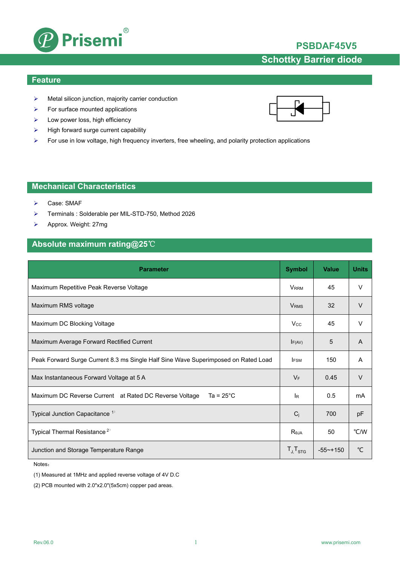

## **PSBDAF45V5**

# **Schottky Barrier diode**

### **Feature**

- $\triangleright$  Metal silicon junction, majority carrier conduction
- $\triangleright$  For surface mounted applications
- $\blacktriangleright$  Low power loss, high efficiency
- $\triangleright$  High forward surge current capability
- For use in low voltage, high frequency inverters, free wheeling, and polarity protection applications

## **Mechanical Characteristics**

- Case: SMAF
- Terminals : Solderable per MIL-STD-750, Method 2026
- Approx. Weight: 27mg

## **Absolute maximum rating@25**℃

| <b>Parameter</b>                                                                   | <b>Symbol</b>           | <b>Value</b> | <b>Units</b>  |
|------------------------------------------------------------------------------------|-------------------------|--------------|---------------|
| Maximum Repetitive Peak Reverse Voltage                                            | <b>V</b> <sub>RRM</sub> | 45           | $\vee$        |
| Maximum RMS voltage                                                                | <b>V</b> <sub>RMS</sub> | 32           | $\vee$        |
| Maximum DC Blocking Voltage                                                        | <b>Vcc</b>              | 45           | $\vee$        |
| Maximum Average Forward Rectified Current                                          | $I_{F(AV)}$             | 5            | A             |
| Peak Forward Surge Current 8.3 ms Single Half Sine Wave Superimposed on Rated Load | <b>IFSM</b>             | 150          | A             |
| Max Instantaneous Forward Voltage at 5 A                                           | $V_F$                   | 0.45         | $\vee$        |
| Ta = $25^{\circ}$ C<br>Maximum DC Reverse Current at Rated DC Reverse Voltage      | <b>IR</b>               | 0.5          | mA            |
| Typical Junction Capacitance <sup>1)</sup>                                         | $C_i$                   | 700          | pF            |
| Typical Thermal Resistance <sup>2)</sup>                                           | $R_{\theta JA}$         | 50           | °C/W          |
| Junction and Storage Temperature Range                                             | $T_{J}T_{STG}$          | $-55$ ~+150  | $\mathcal{C}$ |

Notes:

(1) Measured at 1MHz and applied reverse voltage of 4V D.C

(2) PCB mounted with 2.0"x2.0"(5x5cm) copper pad areas.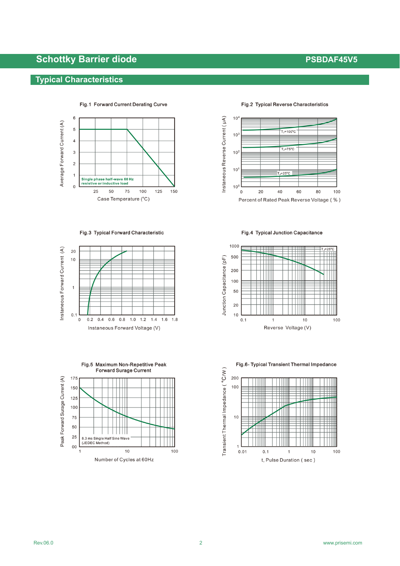# **Schottky Barrier diode PSBDAF45V5 PSBDAF45V5**

## **Typical Characteristics**



Fig.1 Forward Current Derating Curve

Fig.3 Typical Forward Characteristic





### Fig.2 Typical Reverse Characteristics



Fig.4 Typical Junction Capacitance



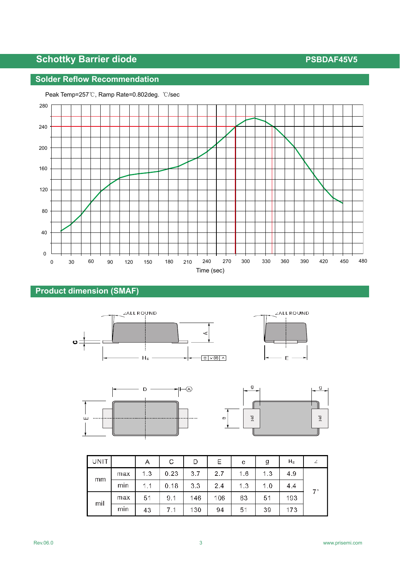# **Schottky Barrier diode PSBDAF45V5 PSBDAF45V5**

## **Solder Reflow Recommendation**



### Peak Temp=257℃, Ramp Rate=0.802deg. ℃/sec

## **Product dimension (SMAF)**







| UNIT |     | Α   | C    | D   | Ε   | e   | g   | $H_E$ |    |
|------|-----|-----|------|-----|-----|-----|-----|-------|----|
| mm   | max | 1.3 | 0.23 | 3.7 | 2.7 | 1.6 | 1.3 | 4.9   |    |
|      | min | 1.1 | 0.18 | 3.3 | 2.4 | 1.3 | 1.0 | 4.4   | 7° |
| mil  | max | 51  | 9.1  | 146 | 106 | 63  | 51  | 193   |    |
|      | min | 43  |      | 130 | 94  | 51  | 39  | 173   |    |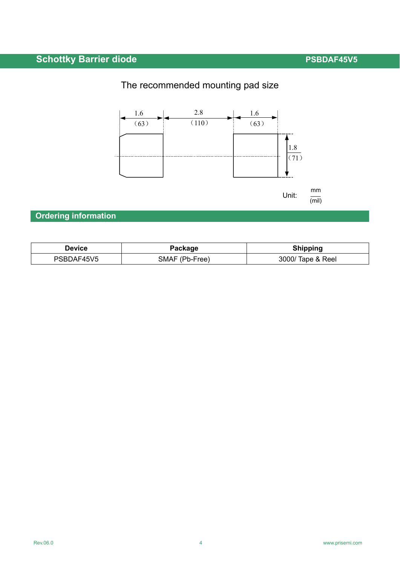# **Schottky Barrier diode PSBDAF45V5**

# The recommended mounting pad size



# **Ordering information**

| Device     | Package        | <b>Shipping</b>   |  |
|------------|----------------|-------------------|--|
| PSBDAF45V5 | SMAF (Pb-Free) | 3000/ Tape & Reel |  |